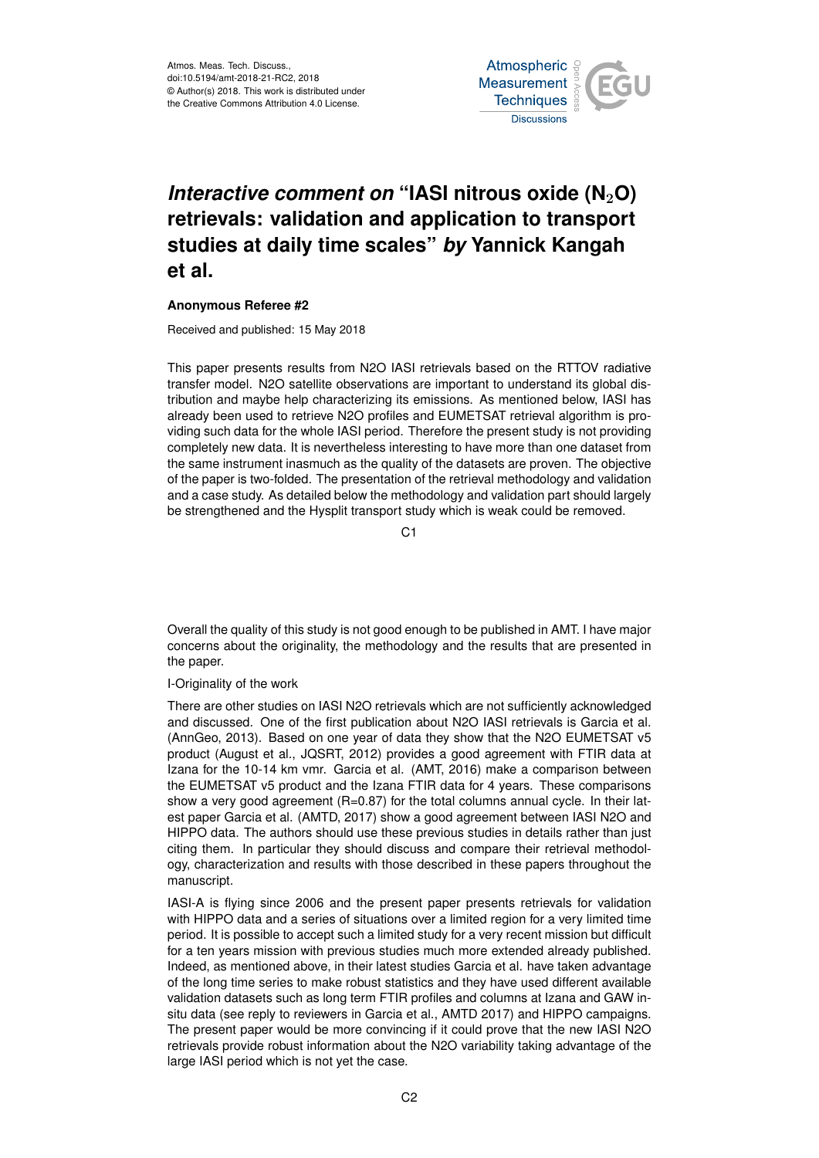

# *Interactive comment on* "IASI nitrous oxide (N<sub>2</sub>O) **retrievals: validation and application to transport studies at daily time scales"** *by* **Yannick Kangah et al.**

## **Anonymous Referee #2**

Received and published: 15 May 2018

This paper presents results from N2O IASI retrievals based on the RTTOV radiative transfer model. N2O satellite observations are important to understand its global distribution and maybe help characterizing its emissions. As mentioned below, IASI has already been used to retrieve N2O profiles and EUMETSAT retrieval algorithm is providing such data for the whole IASI period. Therefore the present study is not providing completely new data. It is nevertheless interesting to have more than one dataset from the same instrument inasmuch as the quality of the datasets are proven. The objective of the paper is two-folded. The presentation of the retrieval methodology and validation and a case study. As detailed below the methodology and validation part should largely be strengthened and the Hysplit transport study which is weak could be removed.

 $C<sub>1</sub>$ 

Overall the quality of this study is not good enough to be published in AMT. I have major concerns about the originality, the methodology and the results that are presented in the paper.

## I-Originality of the work

There are other studies on IASI N2O retrievals which are not sufficiently acknowledged and discussed. One of the first publication about N2O IASI retrievals is Garcia et al. (AnnGeo, 2013). Based on one year of data they show that the N2O EUMETSAT v5 product (August et al., JQSRT, 2012) provides a good agreement with FTIR data at Izana for the 10-14 km vmr. Garcia et al. (AMT, 2016) make a comparison between the EUMETSAT v5 product and the Izana FTIR data for 4 years. These comparisons show a very good agreement (R=0.87) for the total columns annual cycle. In their latest paper Garcia et al. (AMTD, 2017) show a good agreement between IASI N2O and HIPPO data. The authors should use these previous studies in details rather than just citing them. In particular they should discuss and compare their retrieval methodology, characterization and results with those described in these papers throughout the manuscript.

IASI-A is flying since 2006 and the present paper presents retrievals for validation with HIPPO data and a series of situations over a limited region for a very limited time period. It is possible to accept such a limited study for a very recent mission but difficult for a ten years mission with previous studies much more extended already published. Indeed, as mentioned above, in their latest studies Garcia et al. have taken advantage of the long time series to make robust statistics and they have used different available validation datasets such as long term FTIR profiles and columns at Izana and GAW insitu data (see reply to reviewers in Garcia et al., AMTD 2017) and HIPPO campaigns. The present paper would be more convincing if it could prove that the new IASI N2O retrievals provide robust information about the N2O variability taking advantage of the large IASI period which is not yet the case.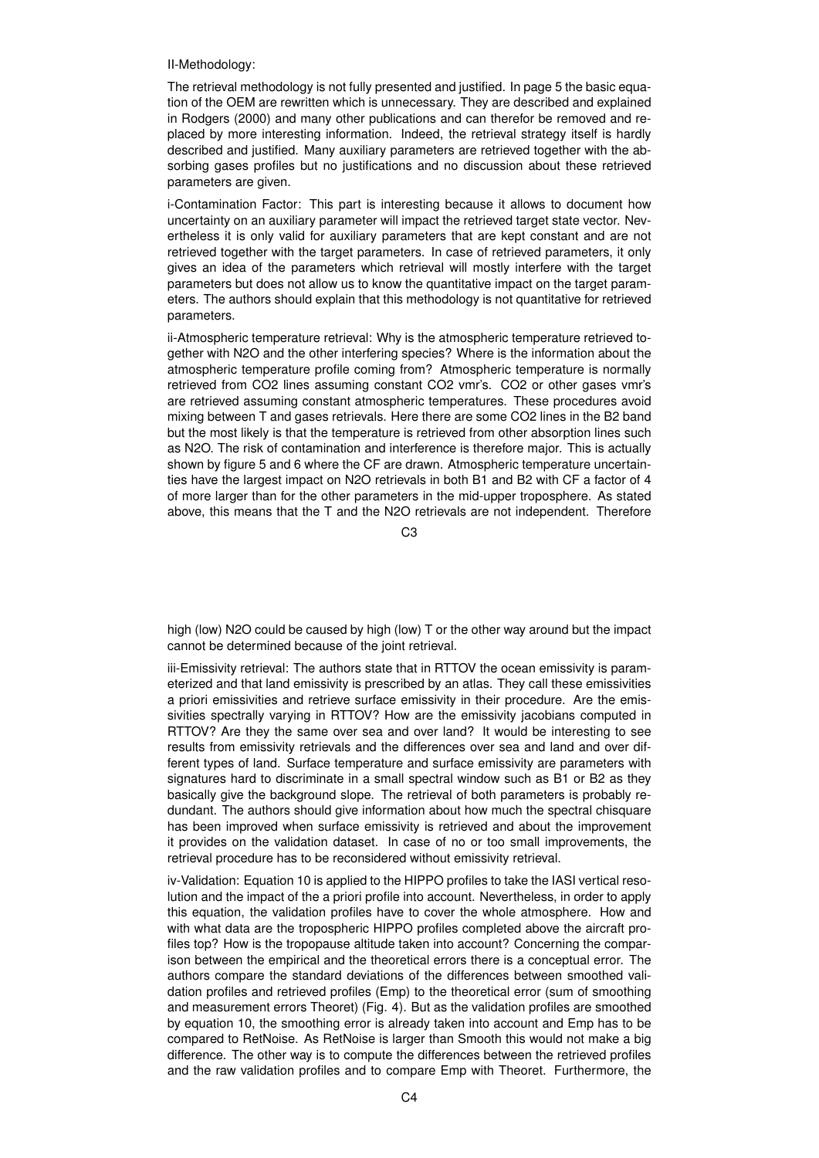II-Methodology:

The retrieval methodology is not fully presented and justified. In page 5 the basic equation of the OEM are rewritten which is unnecessary. They are described and explained in Rodgers (2000) and many other publications and can therefor be removed and replaced by more interesting information. Indeed, the retrieval strategy itself is hardly described and justified. Many auxiliary parameters are retrieved together with the absorbing gases profiles but no justifications and no discussion about these retrieved parameters are given.

i-Contamination Factor: This part is interesting because it allows to document how uncertainty on an auxiliary parameter will impact the retrieved target state vector. Nevertheless it is only valid for auxiliary parameters that are kept constant and are not retrieved together with the target parameters. In case of retrieved parameters, it only gives an idea of the parameters which retrieval will mostly interfere with the target parameters but does not allow us to know the quantitative impact on the target parameters. The authors should explain that this methodology is not quantitative for retrieved parameters.

ii-Atmospheric temperature retrieval: Why is the atmospheric temperature retrieved together with N2O and the other interfering species? Where is the information about the atmospheric temperature profile coming from? Atmospheric temperature is normally retrieved from CO2 lines assuming constant CO2 vmr's. CO2 or other gases vmr's are retrieved assuming constant atmospheric temperatures. These procedures avoid mixing between T and gases retrievals. Here there are some CO2 lines in the B2 band but the most likely is that the temperature is retrieved from other absorption lines such as N2O. The risk of contamination and interference is therefore major. This is actually shown by figure 5 and 6 where the CF are drawn. Atmospheric temperature uncertainties have the largest impact on N2O retrievals in both B1 and B2 with CF a factor of 4 of more larger than for the other parameters in the mid-upper troposphere. As stated above, this means that the T and the N2O retrievals are not independent. Therefore

 $C3$ 

high (low) N2O could be caused by high (low) T or the other way around but the impact cannot be determined because of the joint retrieval.

iii-Emissivity retrieval: The authors state that in RTTOV the ocean emissivity is parameterized and that land emissivity is prescribed by an atlas. They call these emissivities a priori emissivities and retrieve surface emissivity in their procedure. Are the emissivities spectrally varying in RTTOV? How are the emissivity jacobians computed in RTTOV? Are they the same over sea and over land? It would be interesting to see results from emissivity retrievals and the differences over sea and land and over different types of land. Surface temperature and surface emissivity are parameters with signatures hard to discriminate in a small spectral window such as B1 or B2 as they basically give the background slope. The retrieval of both parameters is probably redundant. The authors should give information about how much the spectral chisquare has been improved when surface emissivity is retrieved and about the improvement it provides on the validation dataset. In case of no or too small improvements, the retrieval procedure has to be reconsidered without emissivity retrieval.

iv-Validation: Equation 10 is applied to the HIPPO profiles to take the IASI vertical resolution and the impact of the a priori profile into account. Nevertheless, in order to apply this equation, the validation profiles have to cover the whole atmosphere. How and with what data are the tropospheric HIPPO profiles completed above the aircraft profiles top? How is the tropopause altitude taken into account? Concerning the comparison between the empirical and the theoretical errors there is a conceptual error. The authors compare the standard deviations of the differences between smoothed validation profiles and retrieved profiles (Emp) to the theoretical error (sum of smoothing and measurement errors Theoret) (Fig. 4). But as the validation profiles are smoothed by equation 10, the smoothing error is already taken into account and Emp has to be compared to RetNoise. As RetNoise is larger than Smooth this would not make a big difference. The other way is to compute the differences between the retrieved profiles and the raw validation profiles and to compare Emp with Theoret. Furthermore, the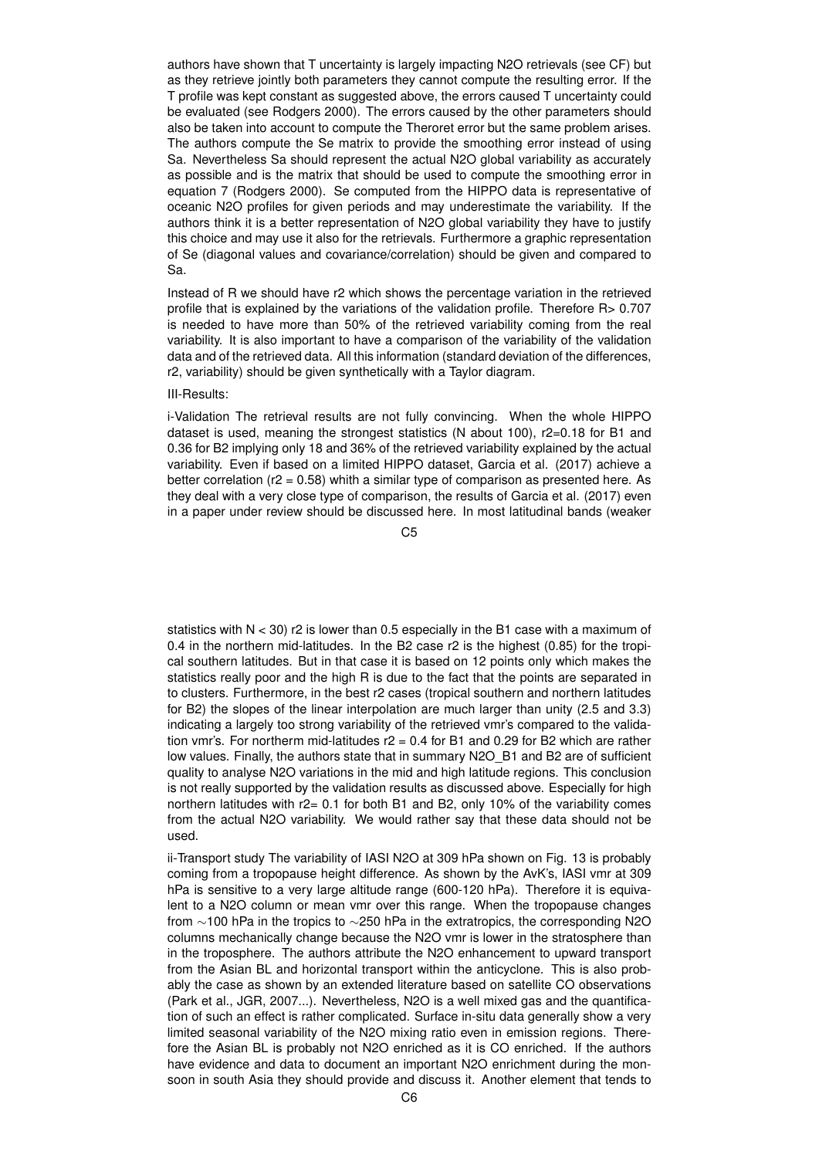authors have shown that T uncertainty is largely impacting N2O retrievals (see CF) but as they retrieve jointly both parameters they cannot compute the resulting error. If the T profile was kept constant as suggested above, the errors caused T uncertainty could be evaluated (see Rodgers 2000). The errors caused by the other parameters should also be taken into account to compute the Theroret error but the same problem arises. The authors compute the Se matrix to provide the smoothing error instead of using Sa. Nevertheless Sa should represent the actual N2O global variability as accurately as possible and is the matrix that should be used to compute the smoothing error in equation 7 (Rodgers 2000). Se computed from the HIPPO data is representative of oceanic N2O profiles for given periods and may underestimate the variability. If the authors think it is a better representation of N2O global variability they have to justify this choice and may use it also for the retrievals. Furthermore a graphic representation of Se (diagonal values and covariance/correlation) should be given and compared to Sa.

Instead of R we should have r2 which shows the percentage variation in the retrieved profile that is explained by the variations of the validation profile. Therefore R> 0.707 is needed to have more than 50% of the retrieved variability coming from the real variability. It is also important to have a comparison of the variability of the validation data and of the retrieved data. All this information (standard deviation of the differences, r2, variability) should be given synthetically with a Taylor diagram.

#### III-Results:

i-Validation The retrieval results are not fully convincing. When the whole HIPPO dataset is used, meaning the strongest statistics (N about 100), r2=0.18 for B1 and 0.36 for B2 implying only 18 and 36% of the retrieved variability explained by the actual variability. Even if based on a limited HIPPO dataset, Garcia et al. (2017) achieve a better correlation ( $r2 = 0.58$ ) whith a similar type of comparison as presented here. As they deal with a very close type of comparison, the results of Garcia et al. (2017) even in a paper under review should be discussed here. In most latitudinal bands (weaker

C5

statistics with  $N < 30$ ) r2 is lower than 0.5 especially in the B1 case with a maximum of 0.4 in the northern mid-latitudes. In the B2 case r2 is the highest (0.85) for the tropical southern latitudes. But in that case it is based on 12 points only which makes the statistics really poor and the high R is due to the fact that the points are separated in to clusters. Furthermore, in the best r2 cases (tropical southern and northern latitudes for B2) the slopes of the linear interpolation are much larger than unity (2.5 and 3.3) indicating a largely too strong variability of the retrieved vmr's compared to the validation vmr's. For northerm mid-latitudes r2 = 0.4 for B1 and 0.29 for B2 which are rather low values. Finally, the authors state that in summary N2O\_B1 and B2 are of sufficient quality to analyse N2O variations in the mid and high latitude regions. This conclusion is not really supported by the validation results as discussed above. Especially for high northern latitudes with r2= 0.1 for both B1 and B2, only 10% of the variability comes from the actual N2O variability. We would rather say that these data should not be used.

ii-Transport study The variability of IASI N2O at 309 hPa shown on Fig. 13 is probably coming from a tropopause height difference. As shown by the AvK's, IASI vmr at 309 hPa is sensitive to a very large altitude range (600-120 hPa). Therefore it is equivalent to a N2O column or mean vmr over this range. When the tropopause changes from ∼100 hPa in the tropics to ∼250 hPa in the extratropics, the corresponding N2O columns mechanically change because the N2O vmr is lower in the stratosphere than in the troposphere. The authors attribute the N2O enhancement to upward transport from the Asian BL and horizontal transport within the anticyclone. This is also probably the case as shown by an extended literature based on satellite CO observations (Park et al., JGR, 2007...). Nevertheless, N2O is a well mixed gas and the quantification of such an effect is rather complicated. Surface in-situ data generally show a very limited seasonal variability of the N2O mixing ratio even in emission regions. Therefore the Asian BL is probably not N2O enriched as it is CO enriched. If the authors have evidence and data to document an important N2O enrichment during the monsoon in south Asia they should provide and discuss it. Another element that tends to